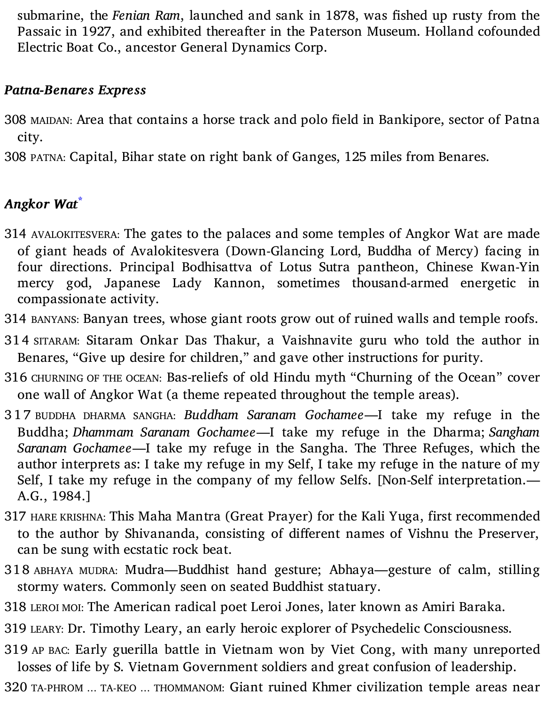submarine, the *Fenian Ram*, launched and sank in 1878, was fished up rusty from the Passaic in 1927, and exhibited thereafter in the Paterson Museum. Holland cofounded Electric Boat Co., ancestor General Dynamics Corp.

### *Patna-Benares Express*

308 MAIDAN: Area that contains a horse track and polo field in Bankipore, sector of Patna city.

308 PATNA: Capital, Bihar state on right bank of Ganges, 125 miles from Benares.

# *Angkor Wat* **\***

- 314 AVALOKITESVERA: The gates to the palaces and some temples of Angkor Wat are made of giant heads of Avalokitesvera (Down-Glancing Lord, Buddha of Mercy) facing in four directions. Principal Bodhisattva of Lotus Sutra pantheon, Chinese Kwan-Yin mercy god, Japanese Lady Kannon, sometimes thousand-armed energetic in compassionate activity.
- 314 BANYANS: Banyan trees, whose giant roots grow out of ruined walls and temple roofs.
- 314 SITARAM: Sitaram Onkar Das Thakur, a Vaishnavite guru who told the author in Benares, "Give up desire for children," and gave other instructions for purity.
- 316 CHURNING OF THE OCEAN: Bas-reliefs of old Hindu myth "Churning of the Ocean" cover one wall of Angkor Wat (a theme repeated throughout the temple areas).
- 3 1 7 BUDDHA DHARMA SANGHA: *Buddham Saranam Gochamee*—I take my refuge in the Buddha; *Dhammam Saranam Gochamee*—I take my refuge in the Dharma; *Sangham Saranam Gochamee*—I take my refuge in the Sangha. The Three Refuges, which the author interprets as: I take my refuge in my Self, I take my refuge in the nature of my Self, I take my refuge in the company of my fellow Selfs. [Non-Self interpretation.— A.G., 1984.]
- 317 HARE KRISHNA: This Maha Mantra (Great Prayer) for the Kali Yuga, first recommended to the author by Shivananda, consisting of different names of Vishnu the Preserver, can be sung with ecstatic rock beat.
- 318 ABHAYA MUDRA: Mudra—Buddhist hand gesture; Abhaya—gesture of calm, stilling stormy waters. Commonly seen on seated Buddhist statuary.
- 318 LEROI MOI: The American radical poet Leroi Jones, later known as Amiri Baraka.
- 319 LEARY: Dr. Timothy Leary, an early heroic explorer of Psychedelic Consciousness.
- 319 AP BAC: Early guerilla battle in Vietnam won by Viet Cong, with many unreported losses of life by S. Vietnam Government soldiers and great confusion of leadership.
- 320 TA-PHROM … TA-KEO … THOMMANOM: Giant ruined Khmer civilization temple areas near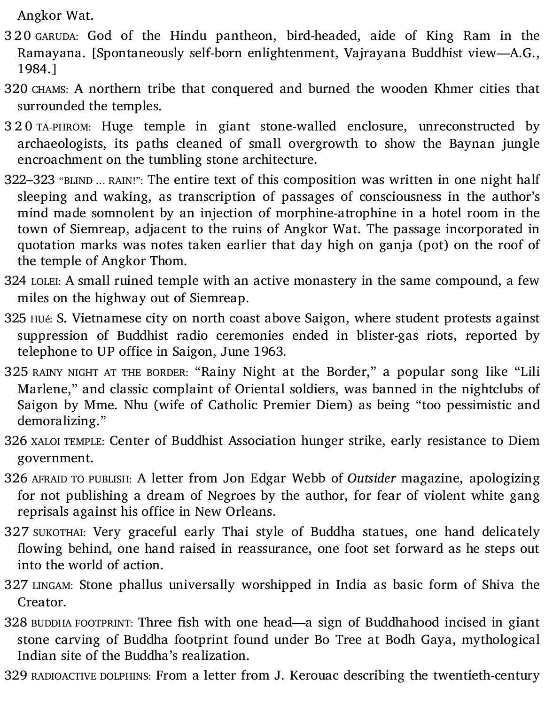Angkor Wat.

- 3 2 0 GARUDA: God of the Hindu pantheon, bird-headed, aide of King Ram in the Ramayana. [Spontaneously self-born enlightenment, Vajrayana Buddhist view—A.G., 1984.]
- 320 CHAMS: A northern tribe that conquered and burned the wooden Khmer cities that surrounded the temples.
- 3 2 0 TA-PHROM: Huge temple in giant stone-walled enclosure, unreconstructed by archaeologists, its paths cleaned of small overgrowth to show the Baynan jungle encroachment on the tumbling stone architecture.
- 322–323 "BLIND … RAIN!": The entire text of this composition was written in one night half sleeping and waking, as transcription of passages of consciousness in the author's mind made somnolent by an injection of morphine-atrophine in a hotel room in the town of Siemreap, adjacent to the ruins of Angkor Wat. The passage incorporated in quotation marks was notes taken earlier that day high on ganja (pot) on the roof of the temple of Angkor Thom.
- 324 LOLEI: A small ruined temple with an active monastery in the same compound, a few miles on the highway out of Siemreap.
- 325 HUé: S. Vietnamese city on north coast above Saigon, where student protests against suppression of Buddhist radio ceremonies ended in blister-gas riots, reported by telephone to UP office in Saigon, June 1963.
- 325 RAINY NIGHT AT THE BORDER: "Rainy Night at the Border," a popular song like "Lili Marlene," and classic complaint of Oriental soldiers, was banned in the nightclubs of Saigon by Mme. Nhu (wife of Catholic Premier Diem) as being "too pessimistic and demoralizing."
- 326 XALOI TEMPLE: Center of Buddhist Association hunger strike, early resistance to Diem government.
- 326 AFRAID TO PUBLISH: A letter from Jon Edgar Webb of *Outsider* magazine, apologizing for not publishing a dream of Negroes by the author, for fear of violent white gang reprisals against his office in New Orleans.
- 327 SUKOTHAI: Very graceful early Thai style of Buddha statues, one hand delicately flowing behind, one hand raised in reassurance, one foot set forward as he steps out into the world of action.
- 327 LINGAM: Stone phallus universally worshipped in India as basic form of Shiva the Creator.
- 328 BUDDHA FOOTPRINT: Three fish with one head—a sign of Buddhahood incised in giant stone carving of Buddha footprint found under Bo Tree at Bodh Gaya, mythological Indian site of the Buddha's realization.
- 329 RADIOACTIVE DOLPHINS: From a letter from J. Kerouac describing the twentieth-century